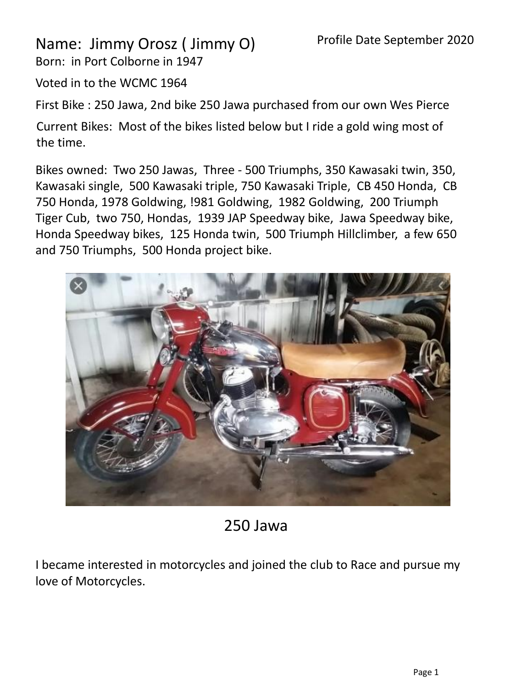## Name: Jimmy Orosz ( Jimmy O)

Born: in Port Colborne in 1947

Voted in to the WCMC 1964

First Bike : 250 Jawa, 2nd bike 250 Jawa purchased from our own Wes Pierce

Current Bikes: Most of the bikes listed below but I ride a gold wing most of the time.

Bikes owned: Two 250 Jawas, Three - 500 Triumphs, 350 Kawasaki twin, 350, Kawasaki single, 500 Kawasaki triple, 750 Kawasaki Triple, CB 450 Honda, CB 750 Honda, 1978 Goldwing, !981 Goldwing, 1982 Goldwing, 200 Triumph Tiger Cub, two 750, Hondas, 1939 JAP Speedway bike, Jawa Speedway bike, Honda Speedway bikes, 125 Honda twin, 500 Triumph Hillclimber, a few 650 and 750 Triumphs, 500 Honda project bike.



## 250 Jawa

I became interested in motorcycles and joined the club to Race and pursue my love of Motorcycles.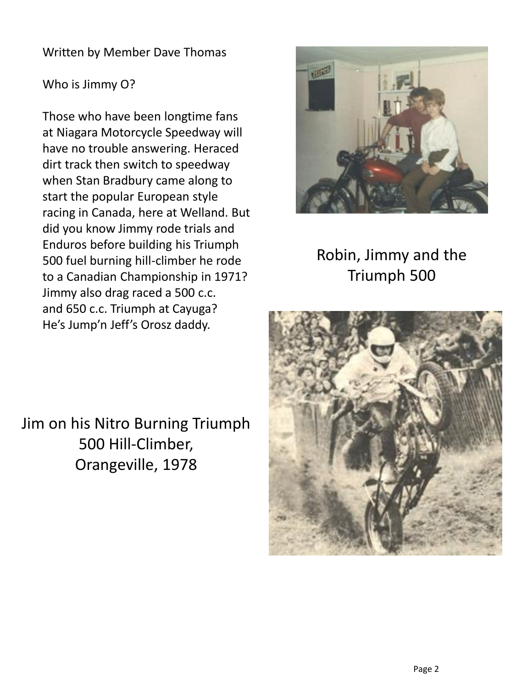## Written by Member Dave Thomas

## Who is Jimmy O?

Those who have been longtime fans at Niagara Motorcycle Speedway will have no trouble answering. Heraced dirt track then switch to speedway when Stan Bradbury came along to start the popular European style racing in Canada, here at Welland. But did you know Jimmy rode trials and Enduros before building his Triumph 500 fuel burning hill-climber he rode to a Canadian Championship in 1971? Jimmy also drag raced a 500 c.c. and 650 c.c. Triumph at Cayuga? He's Jump'n Jeff's Orosz daddy.



Robin, Jimmy and the Triumph 500



Jim on his Nitro Burning Triumph 500 Hill-Climber, Orangeville, 1978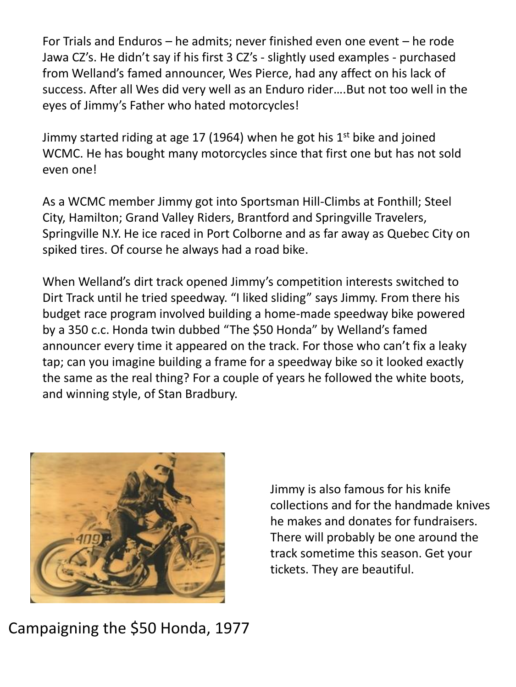For Trials and Enduros – he admits; never finished even one event – he rode Jawa CZ's. He didn't say if his first 3 CZ's - slightly used examples - purchased from Welland's famed announcer, Wes Pierce, had any affect on his lack of success. After all Wes did very well as an Enduro rider….But not too well in the eyes of Jimmy's Father who hated motorcycles!

Jimmy started riding at age 17 (1964) when he got his  $1<sup>st</sup>$  bike and joined WCMC. He has bought many motorcycles since that first one but has not sold even one!

As a WCMC member Jimmy got into Sportsman Hill-Climbs at Fonthill; Steel City, Hamilton; Grand Valley Riders, Brantford and Springville Travelers, Springville N.Y. He ice raced in Port Colborne and as far away as Quebec City on spiked tires. Of course he always had a road bike.

When Welland's dirt track opened Jimmy's competition interests switched to Dirt Track until he tried speedway. "I liked sliding" says Jimmy. From there his budget race program involved building a home-made speedway bike powered by a 350 c.c. Honda twin dubbed "The \$50 Honda" by Welland's famed announcer every time it appeared on the track. For those who can't fix a leaky tap; can you imagine building a frame for a speedway bike so it looked exactly the same as the real thing? For a couple of years he followed the white boots, and winning style, of Stan Bradbury.



Jimmy is also famous for his knife collections and for the handmade knives he makes and donates for fundraisers. There will probably be one around the track sometime this season. Get your tickets. They are beautiful.

Campaigning the \$50 Honda, 1977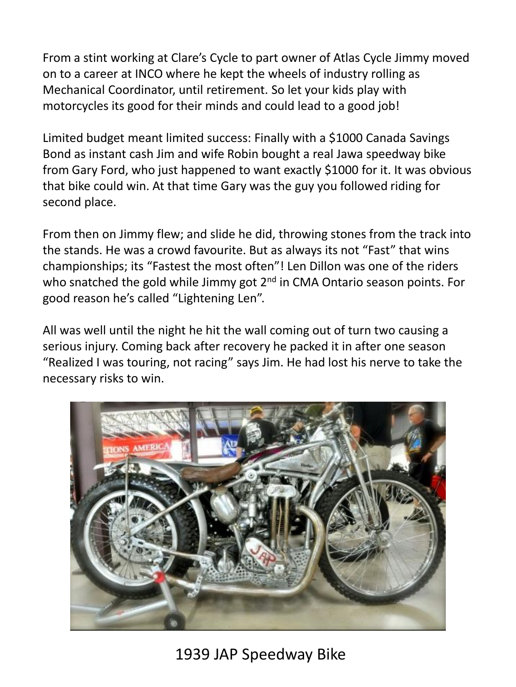From a stint working at Clare's Cycle to part owner of Atlas Cycle Jimmy moved on to a career at INCO where he kept the wheels of industry rolling as Mechanical Coordinator, until retirement. So let your kids play with motorcycles its good for their minds and could lead to a good job!

Limited budget meant limited success: Finally with a \$1000 Canada Savings Bond as instant cash Jim and wife Robin bought a real Jawa speedway bike from Gary Ford, who just happened to want exactly \$1000 for it. It was obvious that bike could win. At that time Gary was the guy you followed riding for second place.

From then on Jimmy flew; and slide he did, throwing stones from the track into the stands. He was a crowd favourite. But as always its not "Fast" that wins championships; its "Fastest the most often"! Len Dillon was one of the riders who snatched the gold while Jimmy got 2<sup>nd</sup> in CMA Ontario season points. For good reason he's called "Lightening Len".

All was well until the night he hit the wall coming out of turn two causing a serious injury. Coming back after recovery he packed it in after one season "Realized I was touring, not racing" says Jim. He had lost his nerve to take the necessary risks to win.



1939 JAP Speedway Bike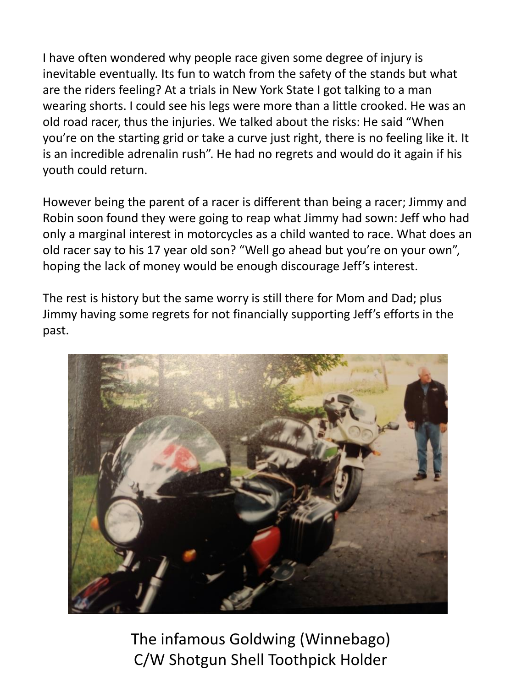I have often wondered why people race given some degree of injury is inevitable eventually. Its fun to watch from the safety of the stands but what are the riders feeling? At a trials in New York State I got talking to a man wearing shorts. I could see his legs were more than a little crooked. He was an old road racer, thus the injuries. We talked about the risks: He said "When you're on the starting grid or take a curve just right, there is no feeling like it. It is an incredible adrenalin rush". He had no regrets and would do it again if his youth could return.

However being the parent of a racer is different than being a racer; Jimmy and Robin soon found they were going to reap what Jimmy had sown: Jeff who had only a marginal interest in motorcycles as a child wanted to race. What does an old racer say to his 17 year old son? "Well go ahead but you're on your own", hoping the lack of money would be enough discourage Jeff's interest.

The rest is history but the same worry is still there for Mom and Dad; plus Jimmy having some regrets for not financially supporting Jeff's efforts in the past.



The infamous Goldwing (Winnebago) C/W Shotgun Shell Toothpick Holder